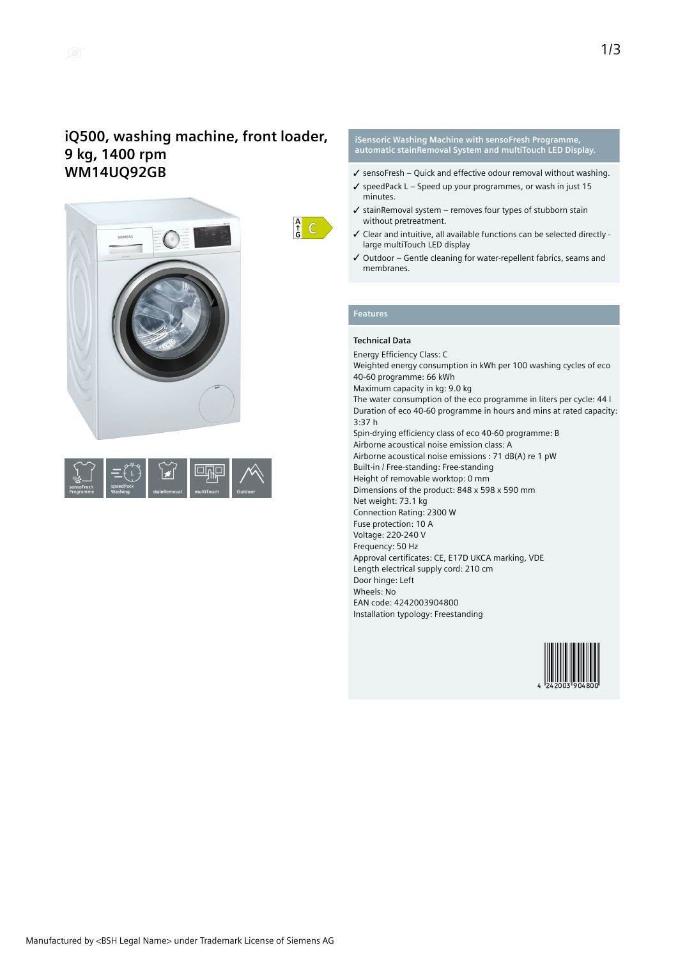## **iQ500, washing machine, front loader, 9 kg, 1400 rpm WM14UQ92GB**





 $\frac{A}{G}$   $C$ 

#### **iSensoric Washing Machine with sensoFresh Programme, automatic stainRemoval System and multiTouch LED Display.**

- $\checkmark$  sensoFresh Ouick and effective odour removal without washing.
- $\checkmark$  speedPack L Speed up your programmes, or wash in just 15 minutes.
- $\checkmark$  stainRemoval system removes four types of stubborn stain without pretreatment.
- ✓ Clear and intuitive, all available functions can be selected directly large multiTouch LED display
- ✓ Outdoor Gentle cleaning for water-repellent fabrics, seams and membranes.

### **Features**

#### **Technical Data**

Energy Efficiency Class: C Weighted energy consumption in kWh per 100 washing cycles of eco 40-60 programme: 66 kWh Maximum capacity in kg: 9.0 kg The water consumption of the eco programme in liters per cycle: 44 l Duration of eco 40-60 programme in hours and mins at rated capacity: 3:37 h Spin-drying efficiency class of eco 40-60 programme: B Airborne acoustical noise emission class: A Airborne acoustical noise emissions : 71 dB(A) re 1 pW Built-in / Free-standing: Free-standing Height of removable worktop: 0 mm Dimensions of the product: 848 x 598 x 590 mm Net weight: 73.1 kg Connection Rating: 2300 W Fuse protection: 10 A Voltage: 220-240 V Frequency: 50 Hz Approval certificates: CE, E17D UKCA marking, VDE Length electrical supply cord: 210 cm Door hinge: Left Wheels: No EAN code: 4242003904800 Installation typology: Freestanding

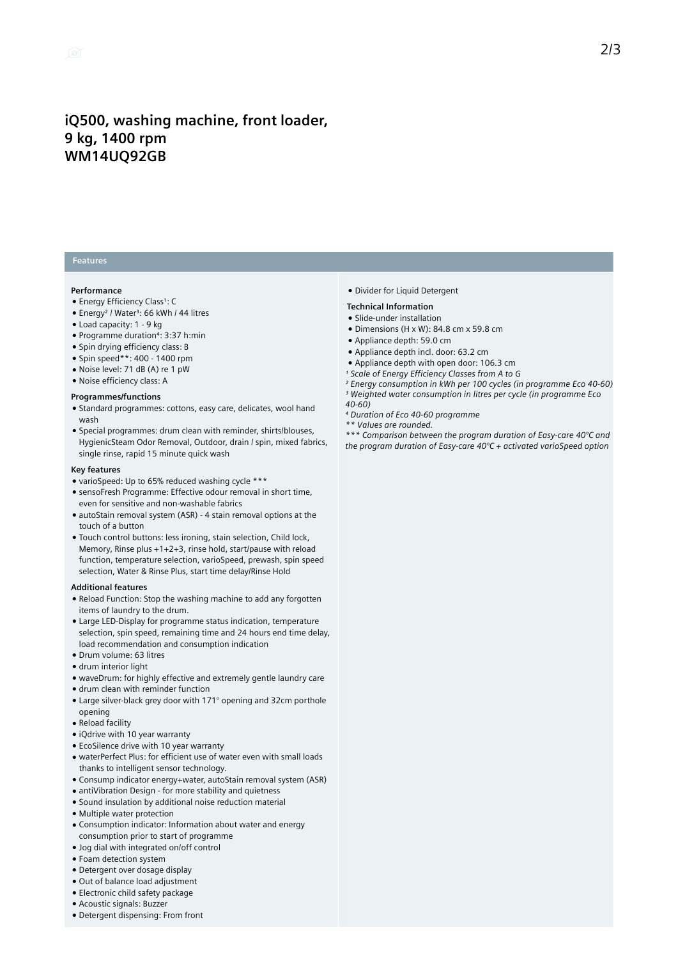## **iQ500, washing machine, front loader, 9 kg, 1400 rpm WM14UQ92GB**

### **Features**

#### **Performance**

- Energy Efficiency Class<sup>1</sup>: C
- Energy<sup>2</sup> / Water<sup>3</sup>: 66 kWh / 44 litres
- Load capacity: 1 9 kg
- Programme duration⁴: 3:37 h:min
- Spin drying efficiency class: B
- Spin speed\*\*: 400 1400 rpm
- Noise level: 71 dB (A) re 1 pW
- Noise efficiency class: A

#### **Programmes/functions**

- Standard programmes: cottons, easy care, delicates, wool hand wash
- Special programmes: drum clean with reminder, shirts/blouses, HygienicSteam Odor Removal, Outdoor, drain / spin, mixed fabrics, single rinse, rapid 15 minute quick wash

#### **Key features**

- varioSpeed: Up to 65% reduced washing cycle \*\*\*
- sensoFresh Programme: Effective odour removal in short time, even for sensitive and non-washable fabrics
- autoStain removal system (ASR) 4 stain removal options at the touch of a button
- Touch control buttons: less ironing, stain selection, Child lock, Memory, Rinse plus +1+2+3, rinse hold, start/pause with reload function, temperature selection, varioSpeed, prewash, spin speed selection, Water & Rinse Plus, start time delay/Rinse Hold

#### **Additional features**

- Reload Function: Stop the washing machine to add any forgotten items of laundry to the drum.
- Large LED-Display for programme status indication, temperature selection, spin speed, remaining time and 24 hours end time delay, load recommendation and consumption indication
- Drum volume: 63 litres
- drum interior light
- waveDrum: for highly effective and extremely gentle laundry care
- drum clean with reminder function
- Large silver-black grey door with 171° opening and 32cm porthole opening
- Reload facility
- iQdrive with 10 year warranty
- EcoSilence drive with 10 year warranty
- waterPerfect Plus: for efficient use of water even with small loads thanks to intelligent sensor technology.
- Consump indicator energy+water, autoStain removal system (ASR)
- antiVibration Design for more stability and quietness
- Sound insulation by additional noise reduction material
- Multiple water protection
- Consumption indicator: Information about water and energy consumption prior to start of programme
- Jog dial with integrated on/off control
- Foam detection system
- Detergent over dosage display
- Out of balance load adjustment
- Electronic child safety package
- Acoustic signals: Buzzer
- Detergent dispensing: From front

● Divider for Liquid Detergent

#### **Technical Information**

- Slide-under installation
- Dimensions (H x W): 84.8 cm x 59.8 cm
- Appliance depth: 59.0 cm
- Appliance depth incl. door: 63.2 cm
- Appliance depth with open door: 106.3 cm
- *¹ Scale of Energy Efficiency Classes from A to G*
- *² Energy consumption in kWh per 100 cycles (in programme Eco 40-60) ³ Weighted water consumption in litres per cycle (in programme Eco*
	-
- *40-60) ⁴ Duration of Eco 40-60 programme*
- *\*\* Values are rounded.*

*\*\*\* Comparison between the program duration of Easy-care 40°C and the program duration of Easy-care 40°C + activated varioSpeed option*